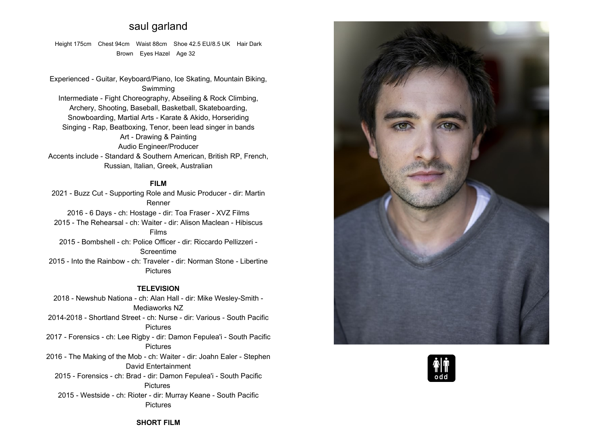# **saul garland**

**Height 175cm Chest 94cm Waist 88cm Shoe 42.5 EU/8.5 UK Hair Dark Brown Eyes Hazel Age <sup>32</sup>**

**Experienced - Guitar, Keyboard/Piano, Ice Skating, Mountain Biking, Swimming Intermediate - Fight Choreography, Abseiling & Rock Climbing, Archery, Shooting, Baseball, Basketball, Skateboarding, Snowboarding, Martial Arts - Karate & Akido, Horseriding Singing - Rap, Beatboxing, Tenor, been lead singer in bands Art - Drawing & Painting Audio Engineer/Producer Accents include - Standard & Southern American, British RP, French, Russian, Italian, Greek, Australian**

### **FILM**

 **2021 - Buzz Cut - Supporting Role and Music Producer - dir: Martin Renner2016 - <sup>6</sup> Days - ch: Hostage - dir: Toa Fraser - XVZ Films 2015 - The Rehearsal - ch: Waiter - dir: Alison Maclean - Hibiscus Films 2015 - Bombshell - ch: Police Officer - dir: Riccardo Pellizzeri - Screentime 2015 - Into the Rainbow - ch: Traveler - dir: Norman Stone - Libertine Pictures**

### **TELEVISION**

 **2018 - Newshub Nationa - ch: Alan Hall - dir: Mike Wesley-Smith - Mediaworks NZ 2014-2018 - Shortland Street - ch: Nurse - dir: Various - South Pacific Pictures 2017 - Forensics - ch: Lee Rigby - dir: Damon Fepulea'i - South Pacific Pictures 2016 - The Making of the Mob - ch: Waiter - dir: Joahn Ealer - Stephen David Entertainment 2015 - Forensics - ch: Brad - dir: Damon Fepulea'i - South Pacific Pictures 2015 - Westside - ch: Rioter - dir: Murray Keane - South Pacific Pictures**





## **SHORT FILM**